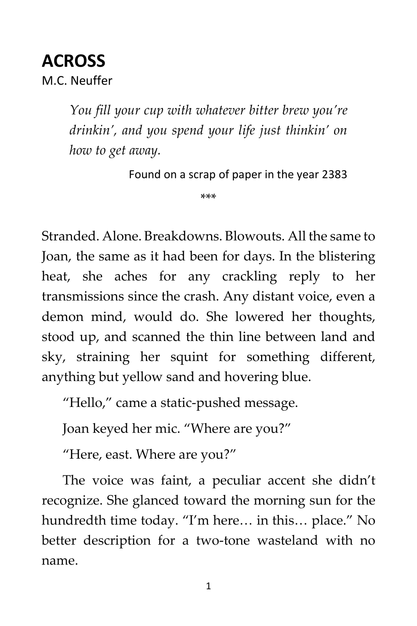# **ACROSS**  M.C. Neuffer

*You fill your cup with whatever bitter brew you're drinkin', and you spend your life just thinkin' on how to get away.*

Found on a scrap of paper in the year 2383

\*\*\*

Stranded. Alone. Breakdowns. Blowouts. All the same to Joan, the same as it had been for days. In the blistering heat, she aches for any crackling reply to her transmissions since the crash. Any distant voice, even a demon mind, would do. She lowered her thoughts, stood up, and scanned the thin line between land and sky, straining her squint for something different, anything but yellow sand and hovering blue.

"Hello," came a static-pushed message.

Joan keyed her mic. "Where are you?"

"Here, east. Where are you?"

The voice was faint, a peculiar accent she didn't recognize. She glanced toward the morning sun for the hundredth time today. "I'm here… in this… place." No better description for a two-tone wasteland with no name.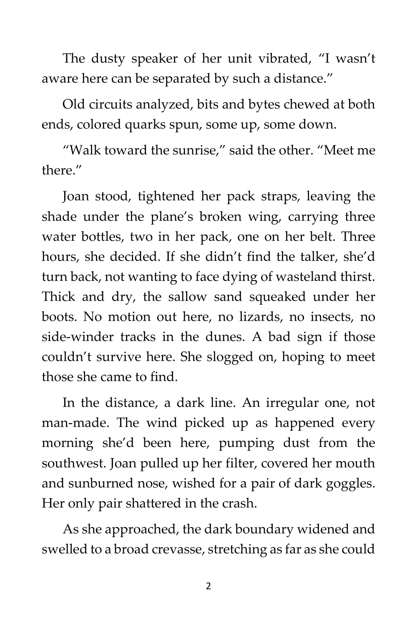The dusty speaker of her unit vibrated, "I wasn't aware here can be separated by such a distance."

Old circuits analyzed, bits and bytes chewed at both ends, colored quarks spun, some up, some down.

"Walk toward the sunrise," said the other. "Meet me there."

Joan stood, tightened her pack straps, leaving the shade under the plane's broken wing, carrying three water bottles, two in her pack, one on her belt. Three hours, she decided. If she didn't find the talker, she'd turn back, not wanting to face dying of wasteland thirst. Thick and dry, the sallow sand squeaked under her boots. No motion out here, no lizards, no insects, no side-winder tracks in the dunes. A bad sign if those couldn't survive here. She slogged on, hoping to meet those she came to find.

In the distance, a dark line. An irregular one, not man-made. The wind picked up as happened every morning she'd been here, pumping dust from the southwest. Joan pulled up her filter, covered her mouth and sunburned nose, wished for a pair of dark goggles. Her only pair shattered in the crash.

As she approached, the dark boundary widened and swelled to a broad crevasse, stretching as far as she could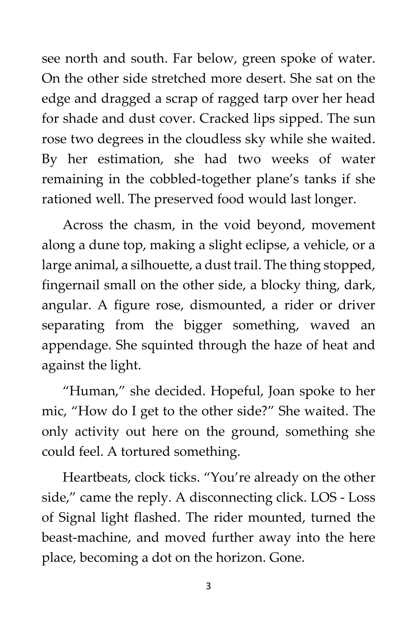see north and south. Far below, green spoke of water. On the other side stretched more desert. She sat on the edge and dragged a scrap of ragged tarp over her head for shade and dust cover. Cracked lips sipped. The sun rose two degrees in the cloudless sky while she waited. By her estimation, she had two weeks of water remaining in the cobbled-together plane's tanks if she rationed well. The preserved food would last longer.

Across the chasm, in the void beyond, movement along a dune top, making a slight eclipse, a vehicle, or a large animal, a silhouette, a dust trail. The thing stopped, fingernail small on the other side, a blocky thing, dark, angular. A figure rose, dismounted, a rider or driver separating from the bigger something, waved an appendage. She squinted through the haze of heat and against the light.

"Human," she decided. Hopeful, Joan spoke to her mic, "How do I get to the other side?" She waited. The only activity out here on the ground, something she could feel. A tortured something.

Heartbeats, clock ticks. "You're already on the other side," came the reply. A disconnecting click. LOS - Loss of Signal light flashed. The rider mounted, turned the beast-machine, and moved further away into the here place, becoming a dot on the horizon. Gone.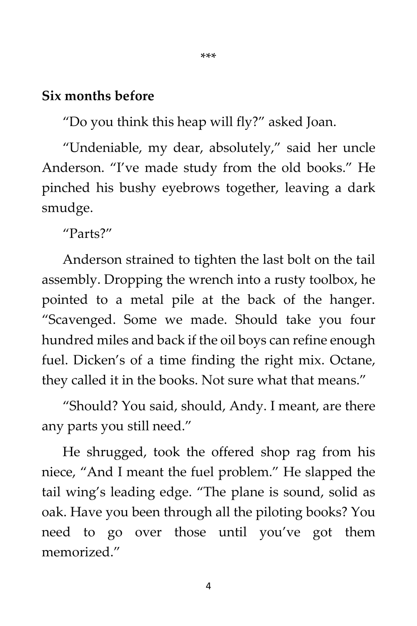#### **Six months before**

"Do you think this heap will fly?" asked Joan.

"Undeniable, my dear, absolutely," said her uncle Anderson. "I've made study from the old books." He pinched his bushy eyebrows together, leaving a dark smudge.

"Parts?"

Anderson strained to tighten the last bolt on the tail assembly. Dropping the wrench into a rusty toolbox, he pointed to a metal pile at the back of the hanger. "Scavenged. Some we made. Should take you four hundred miles and back if the oil boys can refine enough fuel. Dicken's of a time finding the right mix. Octane, they called it in the books. Not sure what that means."

"Should? You said, should, Andy. I meant, are there any parts you still need."

He shrugged, took the offered shop rag from his niece, "And I meant the fuel problem." He slapped the tail wing's leading edge. "The plane is sound, solid as oak. Have you been through all the piloting books? You need to go over those until you've got them memorized."

4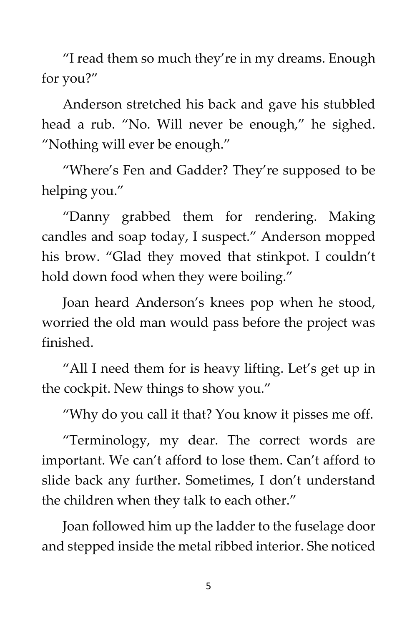"I read them so much they're in my dreams. Enough for you?"

Anderson stretched his back and gave his stubbled head a rub. "No. Will never be enough," he sighed. "Nothing will ever be enough."

"Where's Fen and Gadder? They're supposed to be helping you."

"Danny grabbed them for rendering. Making candles and soap today, I suspect." Anderson mopped his brow. "Glad they moved that stinkpot. I couldn't hold down food when they were boiling."

Joan heard Anderson's knees pop when he stood, worried the old man would pass before the project was finished.

"All I need them for is heavy lifting. Let's get up in the cockpit. New things to show you."

"Why do you call it that? You know it pisses me off.

"Terminology, my dear. The correct words are important. We can't afford to lose them. Can't afford to slide back any further. Sometimes, I don't understand the children when they talk to each other."

Joan followed him up the ladder to the fuselage door and stepped inside the metal ribbed interior. She noticed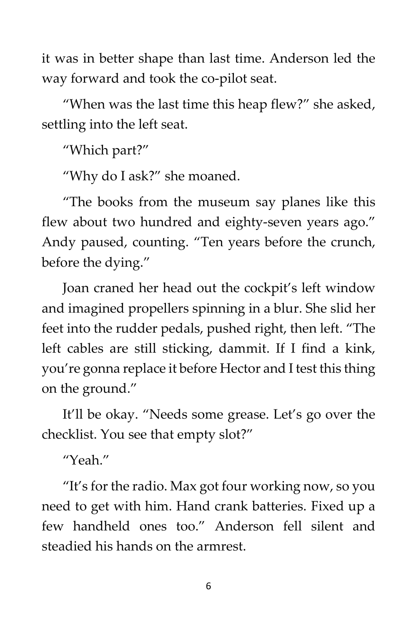it was in better shape than last time. Anderson led the way forward and took the co-pilot seat.

"When was the last time this heap flew?" she asked, settling into the left seat.

"Which part?"

"Why do I ask?" she moaned.

"The books from the museum say planes like this flew about two hundred and eighty-seven years ago." Andy paused, counting. "Ten years before the crunch, before the dying."

Joan craned her head out the cockpit's left window and imagined propellers spinning in a blur. She slid her feet into the rudder pedals, pushed right, then left. "The left cables are still sticking, dammit. If I find a kink, you're gonna replace it before Hector and I test this thing on the ground."

It'll be okay. "Needs some grease. Let's go over the checklist. You see that empty slot?"

"Yeah."

"It's for the radio. Max got four working now, so you need to get with him. Hand crank batteries. Fixed up a few handheld ones too." Anderson fell silent and steadied his hands on the armrest.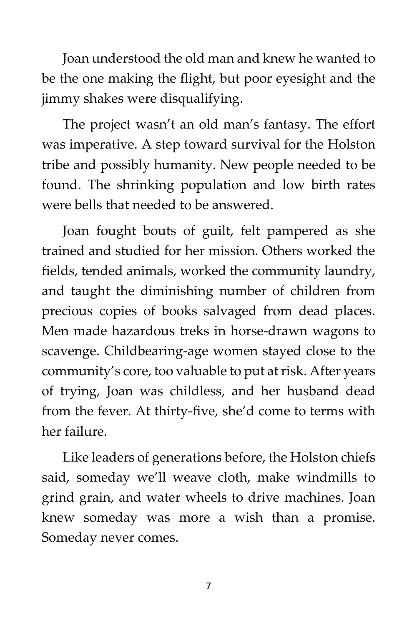Joan understood the old man and knew he wanted to be the one making the flight, but poor eyesight and the jimmy shakes were disqualifying.

The project wasn't an old man's fantasy. The effort was imperative. A step toward survival for the Holston tribe and possibly humanity. New people needed to be found. The shrinking population and low birth rates were bells that needed to be answered.

Joan fought bouts of guilt, felt pampered as she trained and studied for her mission. Others worked the fields, tended animals, worked the community laundry, and taught the diminishing number of children from precious copies of books salvaged from dead places. Men made hazardous treks in horse-drawn wagons to scavenge. Childbearing-age women stayed close to the community's core, too valuable to put at risk. After years of trying, Joan was childless, and her husband dead from the fever. At thirty-five, she'd come to terms with her failure.

Like leaders of generations before, the Holston chiefs said, someday we'll weave cloth, make windmills to grind grain, and water wheels to drive machines. Joan knew someday was more a wish than a promise. Someday never comes.

7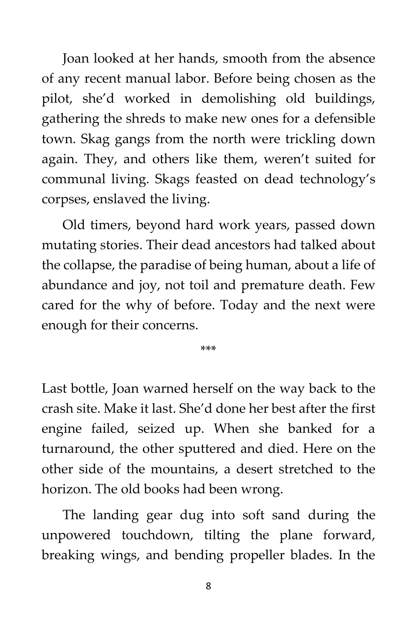Joan looked at her hands, smooth from the absence of any recent manual labor. Before being chosen as the pilot, she'd worked in demolishing old buildings, gathering the shreds to make new ones for a defensible town. Skag gangs from the north were trickling down again. They, and others like them, weren't suited for communal living. Skags feasted on dead technology's corpses, enslaved the living.

Old timers, beyond hard work years, passed down mutating stories. Their dead ancestors had talked about the collapse, the paradise of being human, about a life of abundance and joy, not toil and premature death. Few cared for the why of before. Today and the next were enough for their concerns.

\*\*\*

Last bottle, Joan warned herself on the way back to the crash site. Make it last. She'd done her best after the first engine failed, seized up. When she banked for a turnaround, the other sputtered and died. Here on the other side of the mountains, a desert stretched to the horizon. The old books had been wrong.

The landing gear dug into soft sand during the unpowered touchdown, tilting the plane forward, breaking wings, and bending propeller blades. In the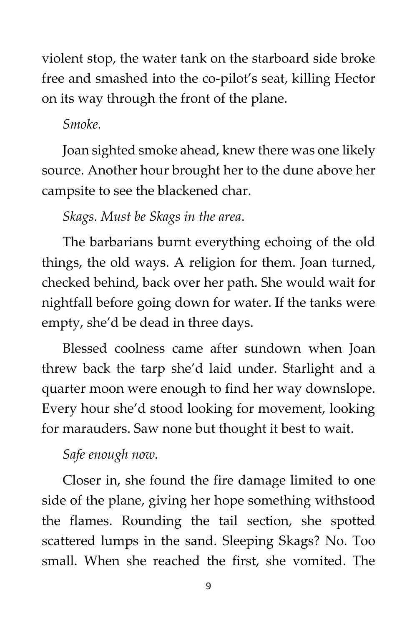violent stop, the water tank on the starboard side broke free and smashed into the co-pilot's seat, killing Hector on its way through the front of the plane.

### *Smoke.*

Joan sighted smoke ahead, knew there was one likely source. Another hour brought her to the dune above her campsite to see the blackened char.

## *Skags. Must be Skags in the area*.

The barbarians burnt everything echoing of the old things, the old ways. A religion for them. Joan turned, checked behind, back over her path. She would wait for nightfall before going down for water. If the tanks were empty, she'd be dead in three days.

Blessed coolness came after sundown when Joan threw back the tarp she'd laid under. Starlight and a quarter moon were enough to find her way downslope. Every hour she'd stood looking for movement, looking for marauders. Saw none but thought it best to wait.

## *Safe enough now.*

Closer in, she found the fire damage limited to one side of the plane, giving her hope something withstood the flames. Rounding the tail section, she spotted scattered lumps in the sand. Sleeping Skags? No. Too small. When she reached the first, she vomited. The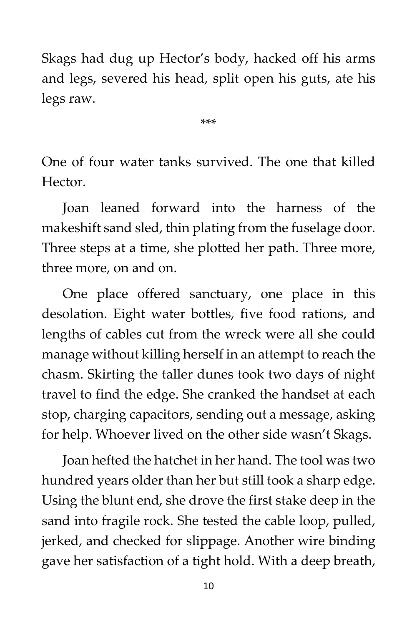Skags had dug up Hector's body, hacked off his arms and legs, severed his head, split open his guts, ate his legs raw.

\*\*\*

One of four water tanks survived. The one that killed Hector.

Joan leaned forward into the harness of the makeshift sand sled, thin plating from the fuselage door. Three steps at a time, she plotted her path. Three more, three more, on and on.

One place offered sanctuary, one place in this desolation. Eight water bottles, five food rations, and lengths of cables cut from the wreck were all she could manage without killing herself in an attempt to reach the chasm. Skirting the taller dunes took two days of night travel to find the edge. She cranked the handset at each stop, charging capacitors, sending out a message, asking for help. Whoever lived on the other side wasn't Skags.

Joan hefted the hatchet in her hand. The tool was two hundred years older than her but still took a sharp edge. Using the blunt end, she drove the first stake deep in the sand into fragile rock. She tested the cable loop, pulled, jerked, and checked for slippage. Another wire binding gave her satisfaction of a tight hold. With a deep breath,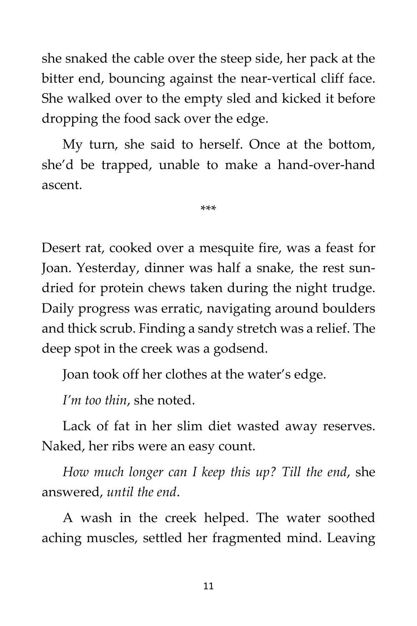she snaked the cable over the steep side, her pack at the bitter end, bouncing against the near-vertical cliff face. She walked over to the empty sled and kicked it before dropping the food sack over the edge.

My turn, she said to herself. Once at the bottom, she'd be trapped, unable to make a hand-over-hand ascent.

\*\*\*

Desert rat, cooked over a mesquite fire, was a feast for Joan. Yesterday, dinner was half a snake, the rest sundried for protein chews taken during the night trudge. Daily progress was erratic, navigating around boulders and thick scrub. Finding a sandy stretch was a relief. The deep spot in the creek was a godsend.

Joan took off her clothes at the water's edge.

*I'm too thin*, she noted.

Lack of fat in her slim diet wasted away reserves. Naked, her ribs were an easy count.

*How much longer can I keep this up? Till the end*, she answered, *until the end*.

A wash in the creek helped. The water soothed aching muscles, settled her fragmented mind. Leaving